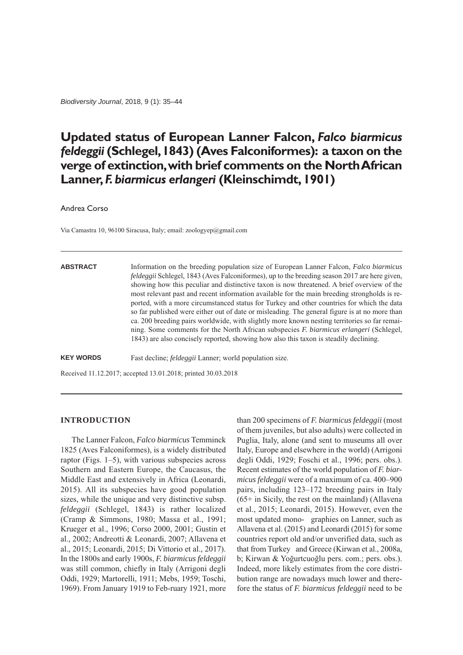*Biodiversity Journal*, 2018, 9 (1): 35–44

# **Updated status of European Lanner Falcon,** *Falco biarmicus feldeggii* **(Schlegel, 1843) (Aves Falconiformes): a taxon on the verge of extinction, with brief comments on the North African Lanner,** *F. biarmicus erlangeri* **(Kleinschimdt, 1901)**

Andrea Corso

Via Camastra 10, 96100 Siracusa, Italy; email: zoologyep@gmail.com

#### **ABSTRACT**

Information on the breeding population size of European Lanner Falcon, *Falco biarmicus feldeggii* Schlegel, 1843 (Aves Falconiformes), up to the breeding season 2017 are here given, showing how this peculiar and distinctive taxon is now threatened. A brief overview of the most relevant past and recent information available for the main breeding strongholds is reported, with a more circumstanced status for Turkey and other countries for which the data so far published were either out of date or misleading. The general figure is at no more than ca. 200 breeding pairs worldwide, with slightly more known nesting territories so far remaining. Some comments for the North African subspecies *F. biarmicus erlangeri* (Schlegel, 1843) are also concisely reported, showing how also this taxon is steadily declining.

**KEY WORDS** Fast decline; *feldeggii* Lanner; world population size.

Received 11.12.2017; accepted 13.01.2018; printed 30.03.2018

## **INTRODUCTION**

The Lanner Falcon, *Falco biarmicus* Temminck 1825 (Aves Falconiformes), is a widely distributed raptor (Figs. 1–5), with various subspecies across Southern and Eastern Europe, the Caucasus, the Middle East and extensively in Africa (Leonardi, 2015). All its subspecies have good population sizes, while the unique and very distinctive subsp. *feldeggii* (Schlegel, 1843) is rather localized (Cramp & Simmons, 1980; Massa et al., 1991; Krueger et al., 1996; Corso 2000, 2001; Gustin et al., 2002; Andreotti & Leonardi, 2007; Allavena et al., 2015; Leonardi, 2015; Di Vittorio et al., 2017). In the 1800s and early 1900s, *F. biarmicus feldeggii* was still common, chiefly in Italy (Arrigoni degli Oddi, 1929; Martorelli, 1911; Mebs, 1959; Toschi, 1969). From January 1919 to Feb-ruary 1921, more than 200 specimens of *F. biarmicus feldeggii* (most of them juveniles, but also adults) were collected in Puglia, Italy, alone (and sent to museums all over Italy, Europe and elsewhere in the world) (Arrigoni degli Oddi, 1929; Foschi et al., 1996; pers. obs.). Recent estimates of the world population of *F. biarmicus feldeggii* were of a maximum of ca. 400–900 pairs, including 123–172 breeding pairs in Italy  $(65 + in Sicily,$  the rest on the mainland) (Allavena et al., 2015; Leonardi, 2015). However, even the most updated mono- graphies on Lanner, such as Allavena et al. (2015) and Leonardi (2015) for some countries report old and/or unverified data, such as that from Turkey and Greece (Kirwan et al., 2008a, b; Kirwan & Yoğurtcuoğlu pers. com.; pers. obs.). Indeed, more likely estimates from the core distribution range are nowadays much lower and therefore the status of *F. biarmicus feldeggii* need to be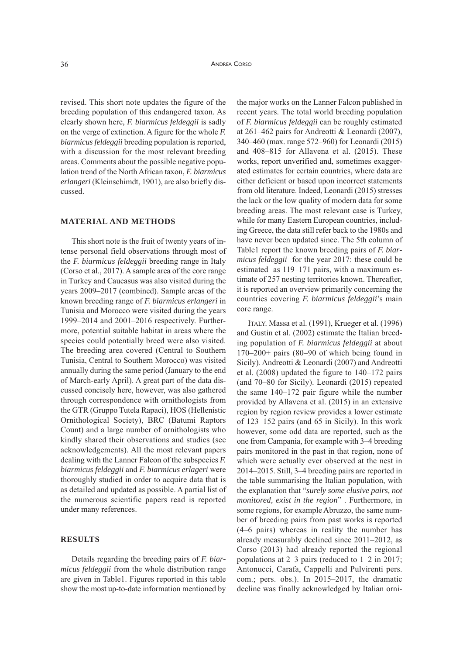revised. This short note updates the figure of the breeding population of this endangered taxon. As clearly shown here, *F. biarmicus feldeggii* is sadly on the verge of extinction. A figure for the whole *F. biarmicus feldeggii* breeding population is reported, with a discussion for the most relevant breeding areas. Comments about the possible negative population trend of the North African taxon, *F. biarmicus erlangeri* (Kleinschimdt, 1901), are also briefly discussed.

# **MATERIAL AND METHODS**

This short note is the fruit of twenty years of intense personal field observations through most of the *F. biarmicus feldeggii* breeding range in Italy (Corso et al., 2017). A sample area of the core range in Turkey and Caucasus was also visited during the years 2009–2017 (combined). Sample areas of the known breeding range of *F. biarmicus erlangeri* in Tunisia and Morocco were visited during the years 1999–2014 and 2001–2016 respectively. Furthermore, potential suitable habitat in areas where the species could potentially breed were also visited. The breeding area covered (Central to Southern Tunisia, Central to Southern Morocco) was visited annually during the same period (January to the end of March-early April). A great part of the data discussed concisely here, however, was also gathered through correspondence with ornithologists from the GTR (Gruppo Tutela Rapaci), HOS (Hellenistic Ornithological Society), BRC (Batumi Raptors Count) and a large number of ornithologists who kindly shared their observations and studies (see acknowledgements). All the most relevant papers dealing with the Lanner Falcon of the subspecies *F. biarmicus feldeggii* and *F. biarmicus erlageri* were thoroughly studied in order to acquire data that is as detailed and updated as possible. A partial list of the numerous scientific papers read is reported under many references.

# **RESULTS**

Details regarding the breeding pairs of *F. biarmicus feldeggii* from the whole distribution range are given in Table1. Figures reported in this table show the most up-to-date information mentioned by

the major works on the Lanner Falcon published in recent years. The total world breeding population of *F. biarmicus feldeggii* can be roughly estimated at 261–462 pairs for Andreotti & Leonardi (2007), 340–460 (max. range 572–960) for Leonardi (2015) and 408–815 for Allavena et al. (2015). These works, report unverified and, sometimes exaggerated estimates for certain countries, where data are either deficient or based upon incorrect statements from old literature. Indeed, Leonardi (2015) stresses the lack or the low quality of modern data for some breeding areas. The most relevant case is Turkey, while for many Eastern European countries, including Greece, the data still refer back to the 1980s and have never been updated since. The 5th column of Table1 report the known breeding pairs of *F. biarmicus feldeggii* for the year 2017: these could be estimated as 119–171 pairs, with a maximum estimate of 257 nesting territories known. Thereafter, it is reported an overview primarily concerning the countries covering *F. biarmicus feldeggii*'s main core range.

ITALY. Massa et al. (1991), Krueger et al. (1996) and Gustin et al. (2002) estimate the Italian breeding population of *F. biarmicus feldeggii* at about 170–200+ pairs (80–90 of which being found in Sicily). Andreotti & Leonardi (2007) and Andreotti et al. (2008) updated the figure to 140–172 pairs (and 70–80 for Sicily). Leonardi (2015) repeated the same 140–172 pair figure while the number provided by Allavena et al. (2015) in an extensive region by region review provides a lower estimate of 123–152 pairs (and 65 in Sicily). In this work however, some odd data are reported, such as the one from Campania, for example with 3–4 breeding pairs monitored in the past in that region, none of which were actually ever observed at the nest in 2014–2015. Still, 3–4 breeding pairs are reported in the table summarising the Italian population, with the explanation that "*surely some elusive pairs, not monitored, exist in the region*" . Furthermore, in some regions, for example Abruzzo, the same number of breeding pairs from past works is reported (4–6 pairs) whereas in reality the number has already measurably declined since 2011–2012, as Corso (2013) had already reported the regional populations at 2–3 pairs (reduced to 1–2 in 2017; Antonucci, Carafa, Cappelli and Pulvirenti pers. com.; pers. obs.). In 2015–2017, the dramatic decline was finally acknowledged by Italian orni-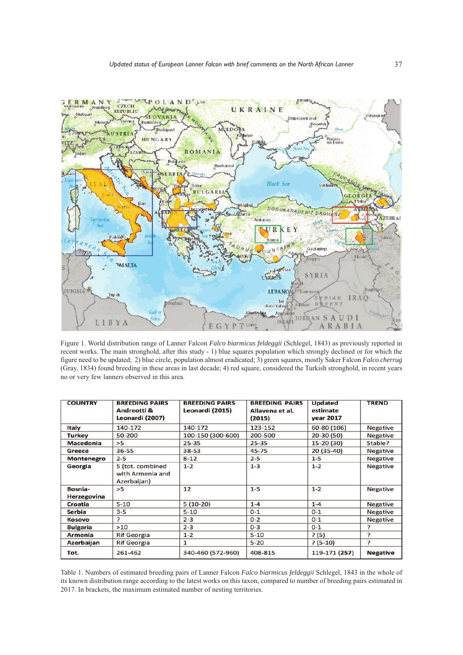

Figure 1. World distribution range of Lanner Falcon *Falco biarmicus feldeggii* (Schlegel, 1843) as previously reported in recent works. The main stronghold, after this study - 1) blue squares population which strongly declined or for which the figure need to be updated; 2) blue circle, population almost eradicated; 3) green squares, mostly Saker Falcon *Falco cherrug* (Gray, 1834) found breeding in these areas in last decade; 4) red square, considered the Turkish stronghold, in recent years no or very few lanners observed in this area.

| <b>COUNTRY</b>         | <b>BREEDING PAIRS</b><br>Andreotti &<br>Leonardi (2007) | <b>BREEDING PAIRS</b><br>Leonardi (2015) | <b>BREEDING PAIRS</b><br>Allavena et al.<br>(2015) | <b>Updated</b><br>estimate<br>year 2017 | <b>TREND</b>    |
|------------------------|---------------------------------------------------------|------------------------------------------|----------------------------------------------------|-----------------------------------------|-----------------|
| Italy                  | 140-172                                                 | 140-172                                  | 123-152                                            | 60-80 (106)                             | Negative        |
| <b>Turkey</b>          | 50-200                                                  | 100-150 (300-600)                        | 200-500                                            | $20 - 30(50)$                           | Negative        |
| Macedonia              | >5                                                      | $25 - 35$                                | $25 - 35$                                          | $15-20(30)$                             | Stable?         |
| Greece                 | 36-55                                                   | 38-53                                    | 45-75                                              | $20(35-40)$                             | <b>Negative</b> |
| Montenegro             | $2 - 5$                                                 | $8 - 12$                                 | $2 - 5$                                            | $1 - 5$                                 | Negative        |
| Georgia                | 5 (tot. combined<br>with Armenia and<br>Azerbaijan)     | $1 - 2$                                  | $1 - 3$                                            | $1 - 2$                                 | Negative        |
| Bosnia-<br>Herzegovina | >5                                                      | 12                                       | $1 - 5$                                            | $1 - 2$                                 | Negative        |
| Croatia                | $5 - 10$                                                | $5(10-20)$                               | $1 - 4$                                            | $1 - 4$                                 | <b>Negative</b> |
| <b>Serbia</b>          | $3 - 5$                                                 | $5 - 10$                                 | $0 - 1$                                            | $O-1$                                   | Negative        |
| Kosovo                 | $\overline{ }$                                          | $2 - 3$                                  | $0 - 2$                                            | $0 - 1$                                 | Negative        |
| <b>Bulgaria</b>        | >10                                                     | $2 - 3$                                  | $0 - 3$                                            | $0 - 1$                                 | ን               |
| Armenia                | <b>Rif Georgia</b>                                      | $1 - 2$                                  | $5 - 10$                                           | ? (5)                                   | P               |
| Azerbaijan             | <b>Rif Georgia</b>                                      | 1                                        | $5 - 20$                                           | $? (5-10)$                              | <sup>2</sup>    |
| Tot.                   | 261-462                                                 | 340-460 (572-960)                        | 408-815                                            | 119-171 (257)                           | <b>Negative</b> |

Table 1. Numbers of estimated breeding pairs of Lanner Falcon *Falco biarmicus feldeggii* Schlegel, 1843 in the whole of its known distribution range according to the latest works on this taxon, compared to number of breeding pairs estimated in 2017. In brackets, the maximum estimated number of nesting territories.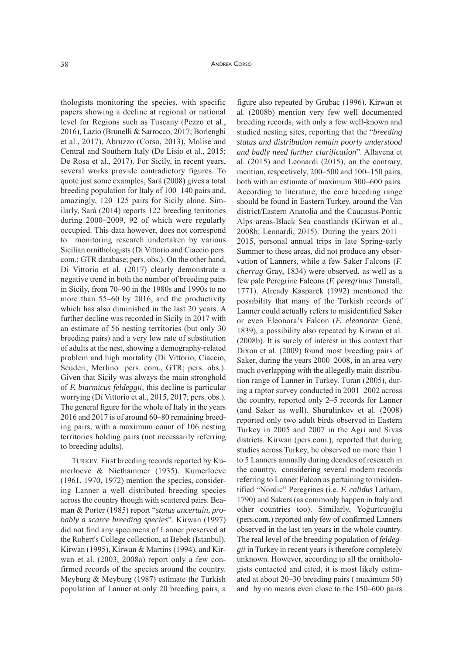thologists monitoring the species, with specific papers showing a decline at regional or national level for Regions such as Tuscany (Pezzo et al., 2016), Lazio (Brunelli & Sarrocco, 2017; Borlenghi et al., 2017), Abruzzo (Corso, 2013), Molise and Central and Southern Italy (De Lisio et al., 2015; De Rosa et al., 2017). For Sicily, in recent years, several works provide contradictory figures. To quote just some examples, Sarà (2008) gives a total breeding population for Italy of 100–140 pairs and, amazingly, 120–125 pairs for Sicily alone. Similarly, Sarà (2014) reports 122 breeding territories during 2000–2009, 92 of which were regularly occupied. This data however, does not correspond to monitoring research undertaken by various Sicilian ornithologists (Di Vittorio and Ciaccio pers. com.; GTR database; pers. obs.). On the other hand, Di Vittorio et al. (2017) clearly demonstrate a negative trend in both the number of breeding pairs in Sicily, from 70–90 in the 1980s and 1990s to no more than 55–60 by 2016, and the productivity which has also diminished in the last 20 years. A further decline was recorded in Sicily in 2017 with an estimate of 56 nesting territories (but only 30 breeding pairs) and a very low rate of substitution of adults at the nest, showing a demography-related problem and high mortality (Di Vittorio, Ciaccio, Scuderi, Merlino pers. com., GTR; pers. obs.). Given that Sicily was always the main stronghold of *F. biarmicus feldeggii*, this decline is particular worrying (Di Vittorio et al., 2015, 2017; pers. obs.). The general figure for the whole of Italy in the years 2016 and 2017 is of around 60–80 remaining breeding pairs, with a maximum count of 106 nesting territories holding pairs (not necessarily referring to breeding adults).

TuRKEY. First breeding records reported by Kumerloeve & Niethammer (1935). Kumerloeve (1961, 1970, 1972) mention the species, considering Lanner a well distributed breeding species across the country though with scattered pairs. Beaman & Porter (1985) report "*status uncertain, probably a scarce breeding species*". Kirwan (1997) did not find any specimens of Lanner preserved at the Robert's College collection, at Bebek (Istanbul). Kirwan (1995), Kirwan & Martins (1994), and Kirwan et al. (2003, 2008a) report only a few confirmed records of the species around the country. Meyburg & Meyburg (1987) estimate the Turkish population of Lanner at only 20 breeding pairs, a

figure also repeated by Grubac (1996). Kirwan et al. (2008b) mention very few well documented breeding records, with only a few well-known and studied nesting sites, reporting that the "*breeding status and distribution remain poorly understood and badly need further clarification*". Allavena et al. (2015) and Leonardi (2015), on the contrary, mention, respectively, 200–500 and 100–150 pairs, both with an estimate of maximum 300–600 pairs. According to literature, the core breeding range should be found in Eastern Turkey, around the Van district/Eastern Anatolia and the Caucasus-Pontic Alps areas-Black Sea coastlands (Kirwan et al., 2008b; Leonardi, 2015). During the years 2011– 2015, personal annual trips in late Spring-early Summer to these areas, did not produce any observation of Lanners, while a few Saker Falcons (*F. cherrug* Gray, 1834) were observed, as well as a few pale Peregrine Falcons (*F. peregrinus* Tunstall, 1771). Already Kasparek (1992) mentioned the possibility that many of the Turkish records of Lanner could actually refers to misidentified Saker or even Eleonora's Falcon (*F. eleonorae* Gené, 1839), a possibility also repeated by Kirwan et al. (2008b). It is surely of interest in this context that Dixon et al. (2009) found most breeding pairs of Saker, during the years 2000–2008, in an area very much overlapping with the allegedly main distribution range of Lanner in Turkey. Turan (2005), during a raptor survey conducted in 2001–2002 across the country, reported only 2–5 records for Lanner (and Saker as well). Shurulinkov et al. (2008) reported only two adult birds observed in Eastern Turkey in 2005 and 2007 in the Agri and Sivas districts. Kirwan (pers.com.), reported that during studies across Turkey, he observed no more than 1 to 5 Lanners annually during decades of research in the country, considering several modern records referring to Lanner Falcon as pertaining to misidentified "Nordic" Peregrines (i.e. *F. calidus* Latham, 1790) and Sakers (as commonly happen in Italy and other countries too). Similarly, Yoğurtcuoğlu (pers.com.) reported only few of confirmed Lanners observed in the last ten years in the whole country. The real level of the breeding population of *feldeggii* in Turkey in recent years is therefore completely unknown. However, according to all the ornithologists contacted and cited, it is most likely estimated at about 20–30 breeding pairs ( maximum 50) and by no means even close to the 150–600 pairs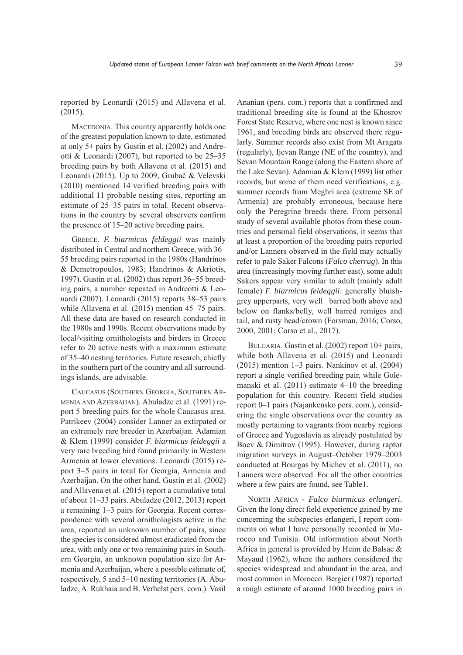reported by Leonardi (2015) and Allavena et al. (2015).

MACEDONIA. This country apparently holds one of the greatest population known to date, estimated at only 5+ pairs by Gustin et al. (2002) and Andreotti & Leonardi (2007), but reported to be 25–35 breeding pairs by both Allavena et al. (2015) and Leonardi (2015). Up to 2009, Grubač & Velevski (2010) mentioned 14 verified breeding pairs with additional 11 probable nesting sites, reporting an estimate of 25–35 pairs in total. Recent observations in the country by several observers confirm the presence of 15–20 active breeding pairs.

GREECE. *F. biarmicus feldeggii* was mainly distributed in Central and northern Greece, with 36– 55 breeding pairs reported in the 1980s (Handrinos & Demetropoulos, 1983; Handrinos & Akriotis, 1997). Gustin et al. (2002) thus report 36–55 breeding pairs, a number repeated in Andreotti & Leonardi (2007). Leonardi (2015) reports 38–53 pairs while Allavena et al. (2015) mention 45–75 pairs. All these data are based on research conducted in the 1980s and 1990s. Recent observations made by local/visiting ornithologists and birders in Greece refer to 20 active nests with a maximum estimate of 35–40 nesting territories. Future research, chiefly in the southern part of the country and all surroundings islands, are advisable.

CAuCASuS (SOuTHERN GEORGIA, SOuTHERN AR-MENIA AND AzERBAIJAN). Abuladze et al. (1991) report 5 breeding pairs for the whole Caucasus area. Patrikeev (2004) consider Lanner as extirpated or an extremely rare breeder in Azerbaijan. Adamian & Klem (1999) consider *F. biarmicus feldeggii* a very rare breeding bird found primarily in Western Armenia at lower elevations. Leonardi (2015) report 3–5 pairs in total for Georgia, Armenia and Azerbaijan. On the other hand, Gustin et al. (2002) and Allavena et al. (2015) report a cumulative total of about 11–33 pairs. Abuladze (2012, 2013) report a remaining 1–3 pairs for Georgia. Recent correspondence with several ornithologists active in the area, reported an unknown number of pairs, since the species is considered almost eradicated from the area, with only one or two remaining pairs in Southern Georgia, an unknown population size for Armenia and Azerbaijan, where a possible estimate of, respectively, 5 and 5–10 nesting territories (A. Abuladze, A. Rukhaia and B. Verhelst pers. com.). Vasil

Ananian (pers. com.) reports that a confirmed and traditional breeding site is found at the Khosrov Forest State Reserve, where one nest is known since 1961, and breeding birds are observed there regularly. Summer records also exist from Mt Aragats (regularly), Ijevan Range (NE of the country), and Sevan Mountain Range (along the Eastern shore of the Lake Sevan). Adamian & Klem (1999) list other records, but some of them need verifications, e.g. summer records from Meghri area (extreme SE of Armenia) are probably erroneous, because here only the Peregrine breeds there. From personal study of several available photos from these countries and personal field observations, it seems that at least a proportion of the breeding pairs reported and/or Lanners observed in the field may actually refer to pale Saker Falcons (*Falco cherrug*). In this area (increasingly moving further east), some adult Sakers appear very similar to adult (mainly adult female) *F. biarmicus feldeggii*: generally bluishgrey upperparts, very well barred both above and below on flanks/belly, well barred remiges and tail, and rusty head/crown (Forsman, 2016; Corso, 2000, 2001; Corso et al., 2017).

BuLGARIA. Gustin et al. (2002) report 10+ pairs, while both Allavena et al. (2015) and Leonardi (2015) mention 1–3 pairs. Nankinov et al. (2004) report a single verified breeding pair, while Golemanski et al. (2011) estimate 4–10 the breeding population for this country. Recent field studies report 0–1 pairs (Najankensko pers. com.), considering the single observations over the country as mostly pertaining to vagrants from nearby regions of Greece and Yugoslavia as already postulated by Boev & Dimitrov (1995). However, during raptor migration surveys in August–October 1979–2003 conducted at Bourgas by Michev et al. (2011), no Lanners were observed. For all the other countries where a few pairs are found, see Table1.

NORTH AFRICA - *Falco biarmicus erlangeri*. Given the long direct field experience gained by me concerning the subspecies erlangeri, I report comments on what I have personally recorded in Morocco and Tunisia. Old information about North Africa in general is provided by Heim de Balsac & Mayaud (1962), where the authors considered the species widespread and abundant in the area, and most common in Morocco. Bergier (1987) reported a rough estimate of around 1000 breeding pairs in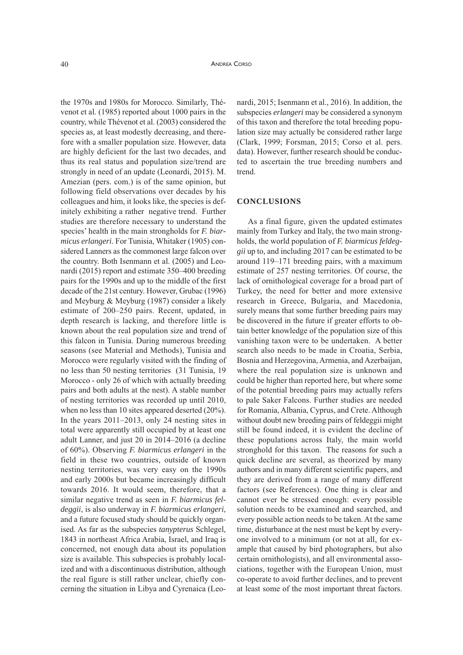the 1970s and 1980s for Morocco. Similarly, Thévenot et al. (1985) reported about 1000 pairs in the country, while Thévenot et al. (2003) considered the species as, at least modestly decreasing, and therefore with a smaller population size. However, data are highly deficient for the last two decades, and thus its real status and population size/trend are strongly in need of an update (Leonardi, 2015). M. Amezian (pers. com.) is of the same opinion, but following field observations over decades by his colleagues and him, it looks like, the species is definitely exhibiting a rather negative trend. Further studies are therefore necessary to understand the species' health in the main strongholds for *F. biarmicus erlangeri*. For Tunisia, Whitaker (1905) considered Lanners as the commonest large falcon over the country. Both Isenmann et al. (2005) and Leonardi (2015) report and estimate 350–400 breeding pairs for the 1990s and up to the middle of the first decade of the 21st century. However, Grubac (1996) and Meyburg & Meyburg (1987) consider a likely estimate of 200–250 pairs. Recent, updated, in depth research is lacking, and therefore little is known about the real population size and trend of this falcon in Tunisia. During numerous breeding seasons (see Material and Methods), Tunisia and Morocco were regularly visited with the finding of no less than 50 nesting territories (31 Tunisia, 19 Morocco - only 26 of which with actually breeding pairs and both adults at the nest). A stable number of nesting territories was recorded up until 2010, when no less than 10 sites appeared deserted (20%). In the years 2011–2013, only 24 nesting sites in total were apparently still occupied by at least one adult Lanner, and just 20 in 2014–2016 (a decline of 60%). Observing *F. biarmicus erlangeri* in the field in these two countries, outside of known nesting territories, was very easy on the 1990s and early 2000s but became increasingly difficult towards 2016. It would seem, therefore, that a similar negative trend as seen in *F. biarmicus feldeggii*, is also underway in *F. biarmicus erlangeri*, and a future focused study should be quickly organised. As far as the subspecies *tanypterus* Schlegel, 1843 in northeast Africa Arabia, Israel, and Iraq is concerned, not enough data about its population size is available. This subspecies is probably localized and with a discontinuous distribution, although the real figure is still rather unclear, chiefly concerning the situation in Libya and Cyrenaica (Leo-

nardi, 2015; Isenmann et al., 2016). In addition, the subspecies *erlangeri* may be considered a synonym of this taxon and therefore the total breeding population size may actually be considered rather large (Clark, 1999; Forsman, 2015; Corso et al. pers. data). However, further research should be conducted to ascertain the true breeding numbers and trend.

### **CONCLUSIONS**

As a final figure, given the updated estimates mainly from Turkey and Italy, the two main strongholds, the world population of *F. biarmicus feldeggii* up to, and including 2017 can be estimated to be around 119–171 breeding pairs, with a maximum estimate of 257 nesting territories. Of course, the lack of ornithological coverage for a broad part of Turkey, the need for better and more extensive research in Greece, Bulgaria, and Macedonia, surely means that some further breeding pairs may be discovered in the future if greater efforts to obtain better knowledge of the population size of this vanishing taxon were to be undertaken. A better search also needs to be made in Croatia, Serbia, Bosnia and Herzegovina, Armenia, and Azerbaijan, where the real population size is unknown and could be higher than reported here, but where some of the potential breeding pairs may actually refers to pale Saker Falcons. Further studies are needed for Romania, Albania, Cyprus, and Crete. Although without doubt new breeding pairs of feldeggii might still be found indeed, it is evident the decline of these populations across Italy, the main world stronghold for this taxon. The reasons for such a quick decline are several, as theorized by many authors and in many different scientific papers, and they are derived from a range of many different factors (see References). One thing is clear and cannot ever be stressed enough: every possible solution needs to be examined and searched, and every possible action needs to be taken. At the same time, disturbance at the nest must be kept by everyone involved to a minimum (or not at all, for example that caused by bird photographers, but also certain ornithologists), and all environmental associations, together with the European Union, must co-operate to avoid further declines, and to prevent at least some of the most important threat factors.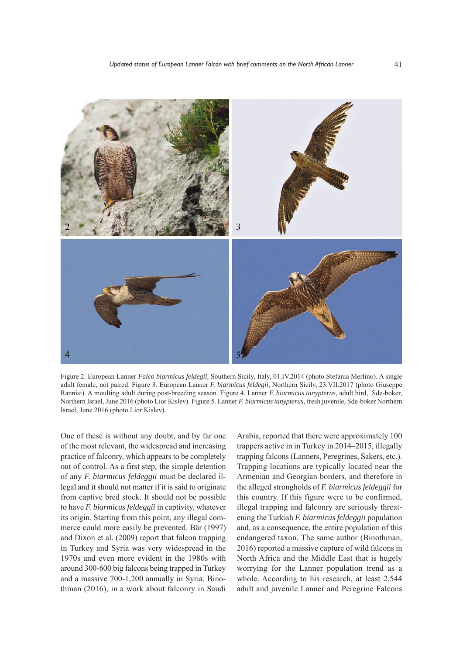

Figure 2. European Lanner *Falco biarmicus feldegii,* Southern Sicily, Italy, 01.IV.2014 (photo Stefania Merlino). A single adult female, not paired. Figure 3. European Lanner *F. biarmicus feldegii*, Northern Sicily, 23.VII.2017 (photo Giuseppe Rannisi). A moulting adult during post-breeding season. Figure 4. Lanner *F. biarmicus tanypterus*, adult bird, Sde-boker, Northern Israel, June 2016 (photo Lior Kislev). Figure 5. Lanner *F. biarmicus tanypterus*, fresh juvenile, Sde-boker Northern Israel, June 2016 (photo Lior Kislev).

One of these is without any doubt, and by far one of the most relevant, the widespread and increasing practice of falconry, which appears to be completely out of control. As a first step, the simple detention of any *F. biarmicus feldeggii* must be declared illegal and it should not matter if it is said to originate from captive bred stock. It should not be possible to have *F. biarmicus feldeggii* in captivity, whatever its origin. Starting from this point, any illegal commerce could more easily be prevented. Bär (1997) and Dixon et al. (2009) report that falcon trapping in Turkey and Syria was very widespread in the 1970s and even more evident in the 1980s with around 300-600 big falcons being trapped in Turkey and a massive 700-1,200 annually in Syria. Binothman (2016), in a work about falconry in Saudi

Arabia, reported that there were approximately 100 trappers active in in Turkey in 2014–2015, illegally trapping falcons (Lanners, Peregrines, Sakers, etc.). Trapping locations are typically located near the Armenian and Georgian borders, and therefore in the alleged strongholds of *F. biarmicus feldeggii* for this country. If this figure were to be confirmed, illegal trapping and falconry are seriously threatening the Turkish *F. biarmicus feldeggii* population and, as a consequence, the entire population of this endangered taxon. The same author (Binothman, 2016) reported a massive capture of wild falcons in North Africa and the Middle East that is hugely worrying for the Lanner population trend as a whole. According to his research, at least 2,544 adult and juvenile Lanner and Peregrine Falcons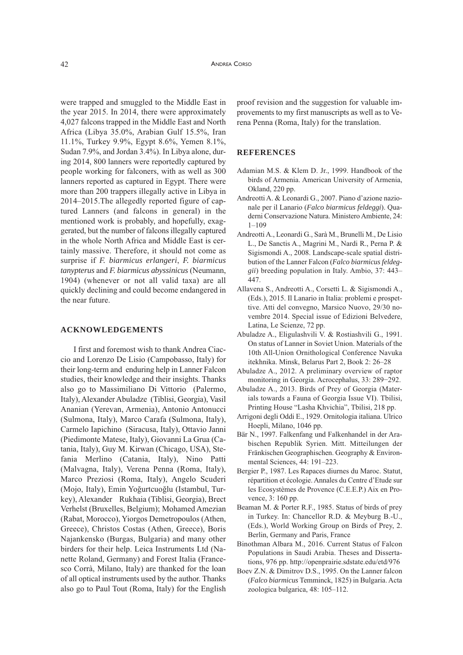were trapped and smuggled to the Middle East in the year 2015. In 2014, there were approximately 4,027 falcons trapped in the Middle East and North Africa (Libya 35.0%, Arabian Gulf 15.5%, Iran 11.1%, Turkey 9.9%, Egypt 8.6%, Yemen 8.1%, Sudan 7.9%, and Jordan 3.4%). In Libya alone, during 2014, 800 lanners were reportedly captured by people working for falconers, with as well as 300 lanners reported as captured in Egypt. There were more than 200 trappers illegally active in Libya in 2014–2015.The allegedly reported figure of captured Lanners (and falcons in general) in the mentioned work is probably, and hopefully, exaggerated, but the number of falcons illegally captured in the whole North Africa and Middle East is certainly massive. Therefore, it should not come as surprise if *F. biarmicus erlangeri*, *F. biarmicus tanypterus* and *F. biarmicus abyssinicus* (Neumann, 1904) (whenever or not all valid taxa) are all quickly declining and could become endangered in the near future.

## **ACKNOWLEDGEMENTS**

I first and foremost wish to thank Andrea Ciaccio and Lorenzo De Lisio (Campobasso, Italy) for their long-term and enduring help in Lanner Falcon studies, their knowledge and their insights. Thanks also go to Massimiliano Di Vittorio (Palermo, Italy), Alexander Abuladze (Tiblisi, Georgia), Vasil Ananian (Yerevan, Armenia), Antonio Antonucci (Sulmona, Italy), Marco Carafa (Sulmona, Italy), Carmelo Iapichino (Siracusa, Italy), Ottavio Janni (Piedimonte Matese, Italy), Giovanni La Grua (Catania, Italy), Guy M. Kirwan (Chicago, uSA), Stefania Merlino (Catania, Italy), Nino Patti (Malvagna, Italy), Verena Penna (Roma, Italy), Marco Preziosi (Roma, Italy), Angelo Scuderi (Mojo, Italy), Emin Yoğurtcuoğlu (Istambul, Turkey), Alexander Rukhaia (Tiblisi, Georgia), Brect Verhelst (Bruxelles, Belgium); Mohamed Amezian (Rabat, Morocco), Yiorgos Demetropoulos (Athen, Greece), Christos Costas (Athen, Greece), Boris Najankensko (Burgas, Bulgaria) and many other birders for their help. Leica Instruments Ltd (Nanette Roland, Germany) and Forest Italia (Francesco Corrà, Milano, Italy) are thanked for the loan of all optical instruments used by the author. Thanks also go to Paul Tout (Roma, Italy) for the English

proof revision and the suggestion for valuable improvements to my first manuscripts as well as to Verena Penna (Roma, Italy) for the translation.

#### **REFERENCES**

- Adamian M.S. & Klem D. Jr., 1999. Handbook of the birds of Armenia. American University of Armenia, Okland, 220 pp.
- Andreotti A. & Leonardi G., 2007. Piano d'azione nazionale per il Lanario (*Falco biarmicus feldeggi*). Quaderni Conservazione Natura. Ministero Ambiente, 24:  $1 - 109$
- Andreotti A., Leonardi G., Sarà M., Brunelli M., De Lisio L., De Sanctis A., Magrini M., Nardi R., Perna P. & Sigismondi A., 2008. Landscape-scale spatial distribution of the Lanner Falcon (*Falco biarmicus feldeggii*) breeding population in Italy. Ambio, 37: 443– 447.
- Allavena S., Andreotti A., Corsetti L. & Sigismondi A., (Eds.), 2015. Il Lanario in Italia: problemi e prospettive. Atti del convegno, Marsico Nuovo, 29/30 novembre 2014. Special issue of Edizioni Belvedere, Latina, Le Scienze, 72 pp.
- Abuladze A., Eligulashvili V. & Rostiashvili G., 1991. On status of Lanner in Soviet Union. Materials of the 10th All-Union Ornithological Conference Navuka itekhnika. Minsk, Belarus Part 2, Book 2: 26–28
- Abuladze A., 2012. A preliminary overview of raptor monitoring in Georgia. Acrocephalus, 33: 289−292.
- Abuladze A., 2013. Birds of Prey of Georgia (Materials towards a Fauna of Georgia Issue VI). Tbilisi, Printing House "Lasha Khvichia", Tbilisi, 218 pp.
- Arrigoni degli Oddi E., 1929. Ornitologia italiana. Ulrico Hoepli, Milano, 1046 pp.
- Bär N., 1997. Falkenfang und Falkenhandel in der Arabischen Republik Syrien. Mitt. Mitteilungen der Fränkischen Geographischen. Geography & Environmental Sciences, 44: 191–223.
- Bergier P., 1987. Les Rapaces diurnes du Maroc. Statut, répartition et écologie. Annales du Centre d'Etude sur les Ecosystèmes de Provence (C.E.E.P.) Aix en Provence, 3: 160 pp.
- Beaman M. & Porter R.F., 1985. Status of birds of prey in Turkey. In: Chancellor R.D. & Meyburg B.-U., (Eds.), World Working Group on Birds of Prey, 2. Berlin, Germany and Paris, France
- Binothman Albara M., 2016. Current Status of Falcon Populations in Saudi Arabia. Theses and Dissertations, 976 pp. http://openprairie.sdstate.edu/etd/976
- Boev z.N. & Dimitrov D.S., 1995. On the Lanner falcon (*Falco biarmicus* Temminck, 1825) in Bulgaria. Acta zoologica bulgarica, 48: 105-112.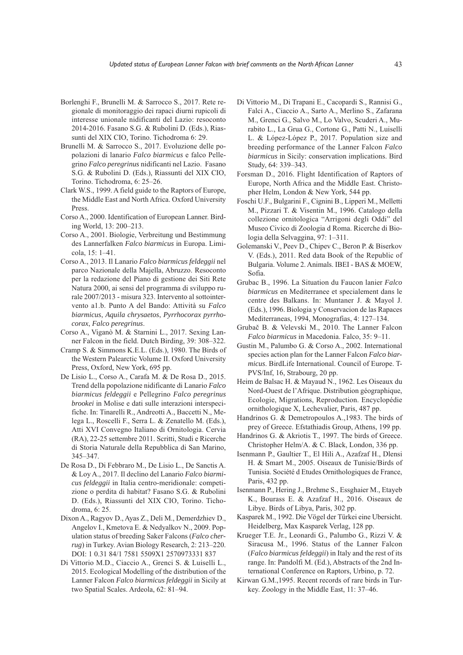- Borlenghi F., Brunelli M. & Sarrocco S., 2017. Rete regionale di monitoraggio dei rapaci diurni rupicoli di interesse unionale nidificanti del Lazio: resoconto 2014-2016. Fasano S.G. & Rubolini D. (Eds.), Riassunti del XIX CIO, Torino. Tichodroma 6: 29.
- Brunelli M. & Sarrocco S., 2017. Evoluzione delle popolazioni di lanario *Falco biarmicus* e falco Pellegrino *Falco peregrinus* nidificanti nel Lazio. Fasano S.G. & Rubolini D. (Eds.), Riassunti del XIX CIO, Torino. Tichodroma, 6: 25–26.
- Clark W.S., 1999. A field guide to the Raptors of Europe, the Middle East and North Africa. Oxford University Press.
- Corso A., 2000. Identification of European Lanner. Birding World, 13: 200–213.
- Corso A., 2001. Biologie, Verbreitung und Bestimmung des Lannerfalken *Falco biarmicus* in Europa. Limicola, 15: 1–41.
- Corso A., 2013. Il Lanario *Falco biarmicus feldeggii* nel parco Nazionale della Majella, Abruzzo. Resoconto per la redazione del Piano di gestione dei Siti Rete Natura 2000, ai sensi del programma di sviluppo rurale 2007/2013 - misura 323. Intervento al sottointervento a1.b. Punto A del Bando: Attività su *Falco biarmicus*, *Aquila chrysaetos*, *Pyrrhocorax pyrrhocorax*, *Falco peregrinus*.
- Corso A., Viganò M. & Starnini L., 2017. Sexing Lanner Falcon in the field. Dutch Birding, 39: 308–322.
- Cramp S. & Simmons K.E.L. (Eds.), 1980. The Birds of the Western Palearctic Volume II. Oxford University Press, Oxford, New York, 695 pp.
- De Lisio L., Corso A., Carafa M. & De Rosa D., 2015. Trend della popolazione nidificante di Lanario *Falco biarmicus feldeggii* e Pellegrino *Falco peregrinus brookei* in Molise e dati sulle interazioni interspecifiche. In: Tinarelli R., Andreotti A., Baccetti N., Melega L., Roscelli F., Serra L. & zenatello M. (Eds.), Atti XVI Convegno Italiano di Ornitologia. Cervia (RA), 22-25 settembre 2011. Scritti, Studi e Ricerche di Storia Naturale della Repubblica di San Marino, 345–347.
- De Rosa D., Di Febbraro M., De Lisio L., De Sanctis A. & Loy A., 2017. Il declino del Lanario *Falco biarmicus feldeggii* in Italia centro-meridionale: competizione o perdita di habitat? Fasano S.G. & Rubolini D. (Eds.), Riassunti del XIX CIO, Torino. Tichodroma, 6: 25.
- Dixon A., Ragyov D., Ayas z., Deli M., Demerdzhiev D., Angelov I., Kmetova E. & Nedyalkov N., 2009. Population status of breeding Saker Falcons (*Falco cherrug*) in Turkey. Avian Biology Research, 2: 213–220. DOI: 1 0.31 84/1 7581 5509X1 2570973331 837
- Di Vittorio M.D., Ciaccio A., Grenci S. & Luiselli L., 2015. Ecological Modelling of the distribution of the Lanner Falcon *Falco biarmicus feldeggii* in Sicily at two Spatial Scales. Ardeola, 62: 81–94.
- Di Vittorio M., Di Trapani E., Cacopardi S., Rannisi G., Falci A., Ciaccio A., Sarto A., Merlino S., zafarana M., Grenci G., Salvo M., Lo Valvo, Scuderi A., Murabito L., La Grua G., Cortone G., Patti N., Luiselli L. & López-López P., 2017. Population size and breeding performance of the Lanner Falcon *Falco biarmicus* in Sicily: conservation implications. Bird Study, 64: 339–343.
- Forsman D., 2016. Flight Identification of Raptors of Europe, North Africa and the Middle East. Christopher Helm, London & New York, 544 pp.
- Foschi u.F., Bulgarini F., Cignini B., Lipperi M., Melletti M., Pizzari T. & Visentin M., 1996. Catalogo della collezione ornitologica "Arrigoni degli Oddi" del Museo Civico di zoologia d Roma. Ricerche di Biologia della Selvaggina, 97: 1–311.
- Golemanski V., Peev D., Chipev C., Beron P. & Biserkov V. (Eds.), 2011. Red data Book of the Republic of Bulgaria. Volume 2. Animals. IBEI - BAS & MOEW, Sofia.
- Grubac B., 1996. La Situation du Faucon lanier *Falco biarmicus* en Mediterranee et specialement dans le centre des Balkans. In: Muntaner J. & Mayol J. (Eds.), 1996. Biologia y Conservacion de las Rapaces Mediterraneas, 1994, Monografias, 4: 127–134.
- Grubač B. & Velevski M., 2010. The Lanner Falcon *Falco biarmicus* in Macedonia. Falco, 35: 9–11.
- Gustin M., Palumbo G. & Corso A., 2002. International species action plan for the Lanner Falcon *Falco biarmicus*. BirdLife International. Council of Europe. T-PVS/Inf, 16, Strabourg, 20 pp.
- Heim de Balsac H. & Mayaud N., 1962. Les Oiseaux du Nord-Ouest de l'Afrique. Distribution géographique, Ecologie, Migrations, Reproduction. Encyclopédie ornithologique X, Lechevalier, Paris, 487 pp.
- Handrinos G. & Demetropoulos A.,1983. The birds of prey of Greece. Efstathiadis Group, Athens, 199 pp.
- Handrinos G. & Akriotis T., 1997. The birds of Greece. Christopher Helm/A. & C. Black, London, 336 pp.
- Isenmann P., Gaultier T., El Hili A., Azafzaf H., Dlensi H. & Smart M., 2005. Oiseaux de Tunisie/Birds of Tunisia. Société d Etudes Ornithologiques de France, Paris, 432 pp.
- Isenmann P., Hering J., Brehme S., Essghaier M., Etayeb K., Bourass E. & Azafzaf H., 2016. Oiseaux de Libye. Birds of Libya, Paris, 302 pp.
- Kasparek M., 1992. Die Vögel der Türkei eine Ubersicht. Heidelberg, Max Kasparek Verlag, 128 pp.
- Krueger T.E. Jr., Leonardi G., Palumbo G., Rizzi V. & Siracusa M., 1996. Status of the Lanner Falcon (*Falco biarmicus feldeggii*) in Italy and the rest of its range. In: Pandolfi M. (Ed.), Abstracts of the 2nd International Conference on Raptors, Urbino, p. 72.
- Kirwan G.M.,1995. Recent records of rare birds in Turkey. zoology in the Middle East, 11: 37–46.